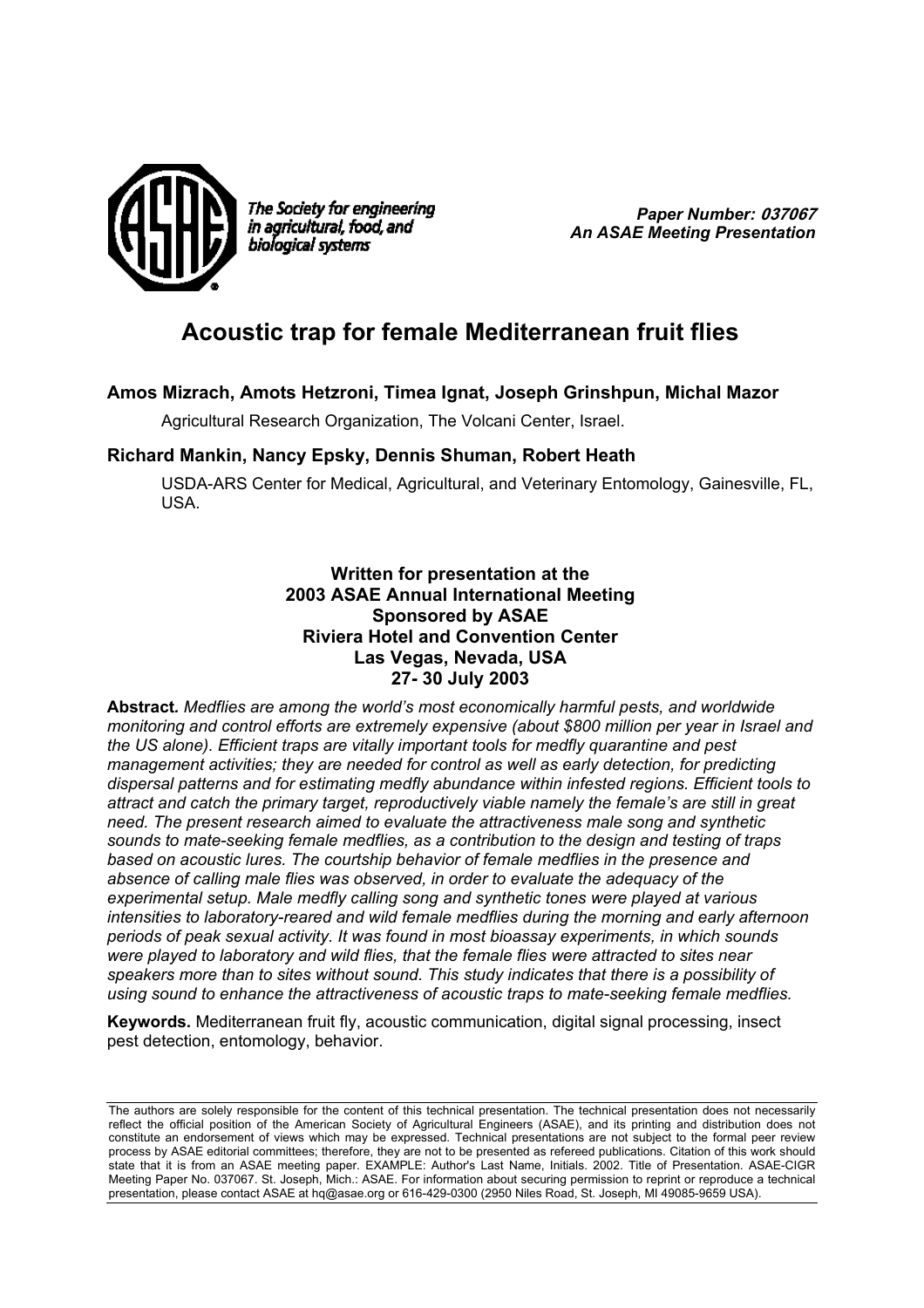

The Society for engineering in agricultural, food, and biological systems

*Paper Number:* **037067** *An ASAE Meeting Presentation* 

# **Acoustic trap for female Mediterranean fruit flies**

## **Amos Mizrach, Amots Hetzroni, Timea Ignat, Joseph Grinshpun, Michal Mazor**

Agricultural Research Organization, The Volcani Center, Israel.

## **Richard Mankin, Nancy Epsky, Dennis Shuman, Robert Heath**

USDA-ARS Center for Medical, Agricultural, and Veterinary Entomology, Gainesville, FL, USA.

> **Written for presentation at the 2003 ASAE Annual International Meeting Sponsored by ASAE Riviera Hotel and Convention Center Las Vegas, Nevada, USA 27- 30 July 2003**

**Abstract***. Medflies are among the world's most economically harmful pests, and worldwide monitoring and control efforts are extremely expensive (about \$800 million per year in Israel and the US alone). Efficient traps are vitally important tools for medfly quarantine and pest management activities; they are needed for control as well as early detection, for predicting dispersal patterns and for estimating medfly abundance within infested regions. Efficient tools to attract and catch the primary target, reproductively viable namely the female's are still in great need. The present research aimed to evaluate the attractiveness male song and synthetic sounds to mate-seeking female medflies, as a contribution to the design and testing of traps based on acoustic lures. The courtship behavior of female medflies in the presence and absence of calling male flies was observed, in order to evaluate the adequacy of the experimental setup. Male medfly calling song and synthetic tones were played at various intensities to laboratory-reared and wild female medflies during the morning and early afternoon periods of peak sexual activity. It was found in most bioassay experiments, in which sounds were played to laboratory and wild flies, that the female flies were attracted to sites near speakers more than to sites without sound. This study indicates that there is a possibility of using sound to enhance the attractiveness of acoustic traps to mate-seeking female medflies.* 

**Keywords.** Mediterranean fruit fly, acoustic communication, digital signal processing, insect pest detection, entomology, behavior.

The authors are solely responsible for the content of this technical presentation. The technical presentation does not necessarily reflect the official position of the American Society of Agricultural Engineers (ASAE), and its printing and distribution does not constitute an endorsement of views which may be expressed. Technical presentations are not subject to the formal peer review process by ASAE editorial committees; therefore, they are not to be presented as refereed publications. Citation of this work should state that it is from an ASAE meeting paper. EXAMPLE: Author's Last Name, Initials. 2002. Title of Presentation. ASAE-CIGR Meeting Paper No. 037067. St. Joseph, Mich.: ASAE. For information about securing permission to reprint or reproduce a technical presentation, please contact ASAE at hq@asae.org or 616-429-0300 (2950 Niles Road, St. Joseph, MI 49085-9659 USA).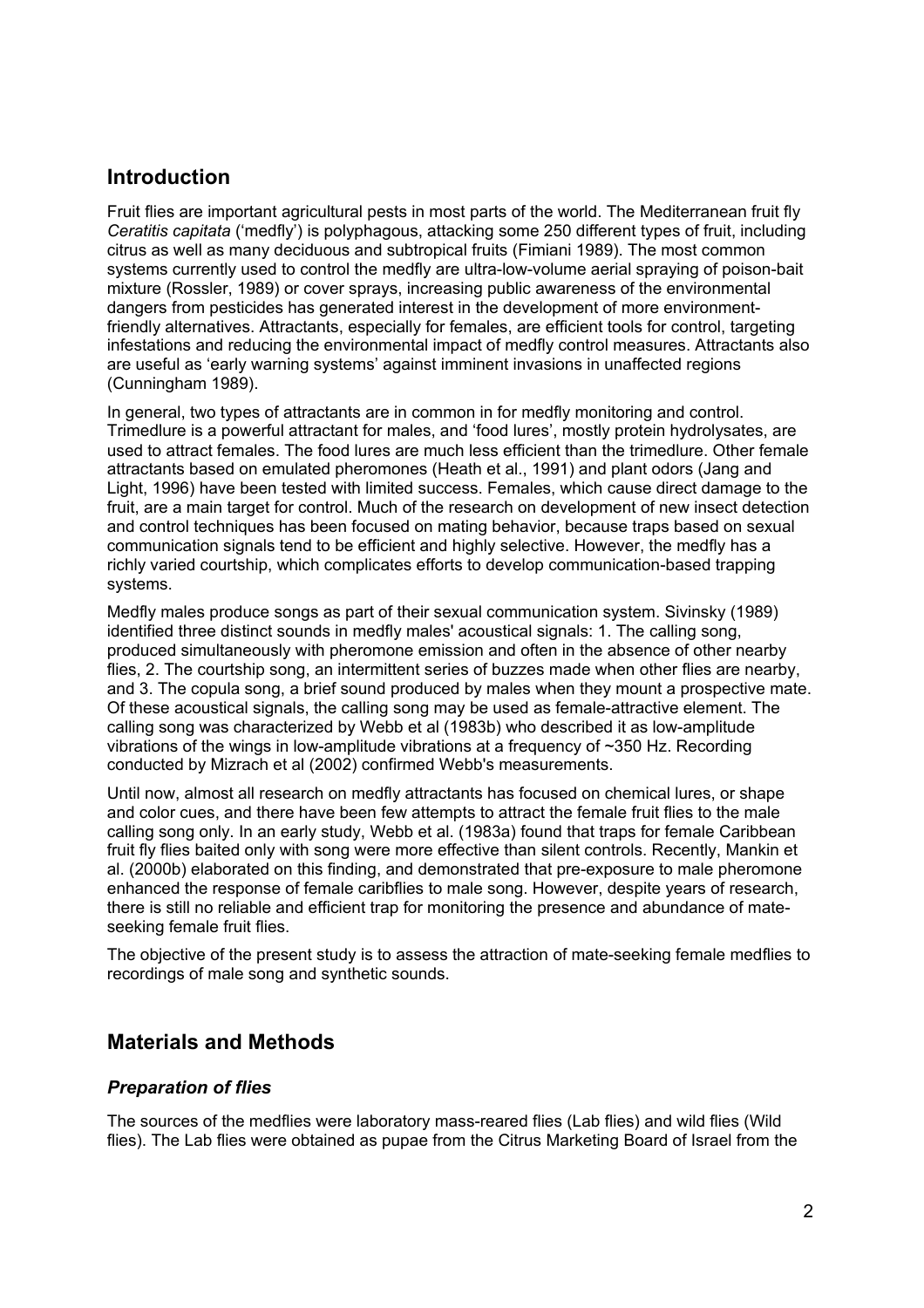## **Introduction**

Fruit flies are important agricultural pests in most parts of the world. The Mediterranean fruit fly *Ceratitis capitata* ('medfly') is polyphagous, attacking some 250 different types of fruit, including citrus as well as many deciduous and subtropical fruits (Fimiani 1989). The most common systems currently used to control the medfly are ultra-low-volume aerial spraying of poison-bait mixture (Rossler, 1989) or cover sprays, increasing public awareness of the environmental dangers from pesticides has generated interest in the development of more environmentfriendly alternatives. Attractants, especially for females, are efficient tools for control, targeting infestations and reducing the environmental impact of medfly control measures. Attractants also are useful as 'early warning systems' against imminent invasions in unaffected regions (Cunningham 1989).

In general, two types of attractants are in common in for medfly monitoring and control. Trimedlure is a powerful attractant for males, and 'food lures', mostly protein hydrolysates, are used to attract females. The food lures are much less efficient than the trimedlure. Other female attractants based on emulated pheromones (Heath et al., 1991) and plant odors (Jang and Light, 1996) have been tested with limited success. Females, which cause direct damage to the fruit, are a main target for control. Much of the research on development of new insect detection and control techniques has been focused on mating behavior, because traps based on sexual communication signals tend to be efficient and highly selective. However, the medfly has a richly varied courtship, which complicates efforts to develop communication-based trapping systems.

Medfly males produce songs as part of their sexual communication system. Sivinsky (1989) identified three distinct sounds in medfly males' acoustical signals: 1. The calling song, produced simultaneously with pheromone emission and often in the absence of other nearby flies, 2. The courtship song, an intermittent series of buzzes made when other flies are nearby, and 3. The copula song, a brief sound produced by males when they mount a prospective mate. Of these acoustical signals, the calling song may be used as female-attractive element. The calling song was characterized by Webb et al (1983b) who described it as low-amplitude vibrations of the wings in low-amplitude vibrations at a frequency of ~350 Hz. Recording conducted by Mizrach et al (2002) confirmed Webb's measurements.

Until now, almost all research on medfly attractants has focused on chemical lures, or shape and color cues, and there have been few attempts to attract the female fruit flies to the male calling song only. In an early study, Webb et al. (1983a) found that traps for female Caribbean fruit fly flies baited only with song were more effective than silent controls. Recently, Mankin et al. (2000b) elaborated on this finding, and demonstrated that pre-exposure to male pheromone enhanced the response of female caribflies to male song. However, despite years of research, there is still no reliable and efficient trap for monitoring the presence and abundance of mateseeking female fruit flies.

The objective of the present study is to assess the attraction of mate-seeking female medflies to recordings of male song and synthetic sounds.

## **Materials and Methods**

## *Preparation of flies*

The sources of the medflies were laboratory mass-reared flies (Lab flies) and wild flies (Wild flies). The Lab flies were obtained as pupae from the Citrus Marketing Board of Israel from the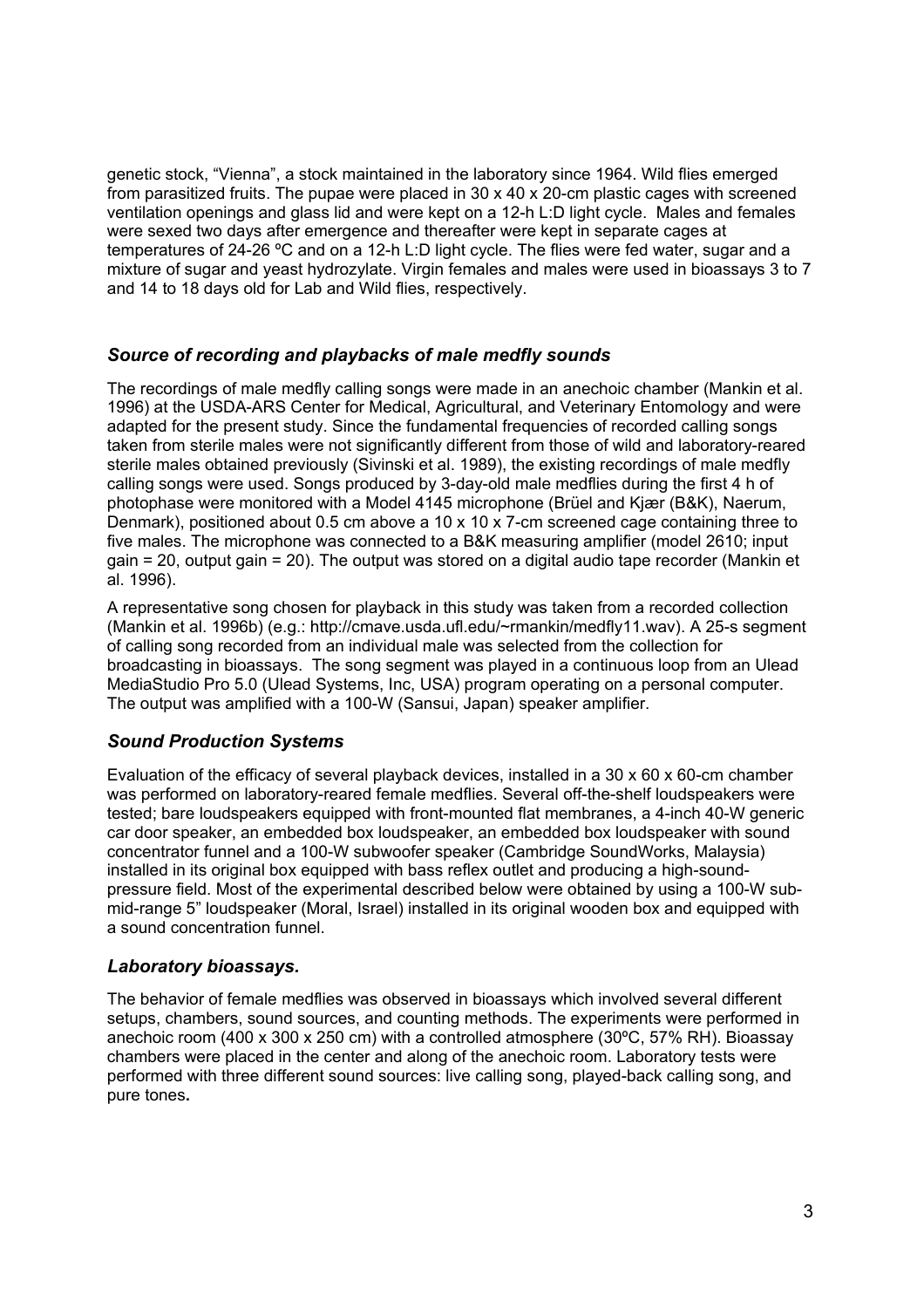genetic stock, "Vienna", a stock maintained in the laboratory since 1964. Wild flies emerged from parasitized fruits. The pupae were placed in 30 x 40 x 20-cm plastic cages with screened ventilation openings and glass lid and were kept on a 12-h L:D light cycle. Males and females were sexed two days after emergence and thereafter were kept in separate cages at temperatures of 24-26 ºC and on a 12-h L:D light cycle. The flies were fed water, sugar and a mixture of sugar and yeast hydrozylate. Virgin females and males were used in bioassays 3 to 7 and 14 to 18 days old for Lab and Wild flies, respectively.

### *Source of recording and playbacks of male medfly sounds*

The recordings of male medfly calling songs were made in an anechoic chamber (Mankin et al. 1996) at the USDA-ARS Center for Medical, Agricultural, and Veterinary Entomology and were adapted for the present study. Since the fundamental frequencies of recorded calling songs taken from sterile males were not significantly different from those of wild and laboratory-reared sterile males obtained previously (Sivinski et al. 1989), the existing recordings of male medfly calling songs were used. Songs produced by 3-day-old male medflies during the first 4 h of photophase were monitored with a Model 4145 microphone (Brüel and Kjær (B&K), Naerum, Denmark), positioned about 0.5 cm above a 10 x 10 x 7-cm screened cage containing three to five males. The microphone was connected to a B&K measuring amplifier (model 2610; input gain = 20, output gain = 20). The output was stored on a digital audio tape recorder (Mankin et al. 1996).

A representative song chosen for playback in this study was taken from a recorded collection (Mankin et al. 1996b) (e.g.: http://cmave.usda.ufl.edu/~rmankin/medfly11.wav). A 25-s segment of calling song recorded from an individual male was selected from the collection for broadcasting in bioassays. The song segment was played in a continuous loop from an Ulead MediaStudio Pro 5.0 (Ulead Systems, Inc, USA) program operating on a personal computer. The output was amplified with a 100-W (Sansui, Japan) speaker amplifier.

## *Sound Production Systems*

Evaluation of the efficacy of several playback devices, installed in a 30 x 60 x 60-cm chamber was performed on laboratory-reared female medflies. Several off-the-shelf loudspeakers were tested; bare loudspeakers equipped with front-mounted flat membranes, a 4-inch 40-W generic car door speaker, an embedded box loudspeaker, an embedded box loudspeaker with sound concentrator funnel and a 100-W subwoofer speaker (Cambridge SoundWorks, Malaysia) installed in its original box equipped with bass reflex outlet and producing a high-soundpressure field. Most of the experimental described below were obtained by using a 100-W submid-range 5" loudspeaker (Moral, Israel) installed in its original wooden box and equipped with a sound concentration funnel.

## *Laboratory bioassays.*

The behavior of female medflies was observed in bioassays which involved several different setups, chambers, sound sources, and counting methods. The experiments were performed in anechoic room (400 x 300 x 250 cm) with a controlled atmosphere (30ºC, 57% RH). Bioassay chambers were placed in the center and along of the anechoic room. Laboratory tests were performed with three different sound sources: live calling song, played-back calling song, and pure tones**.**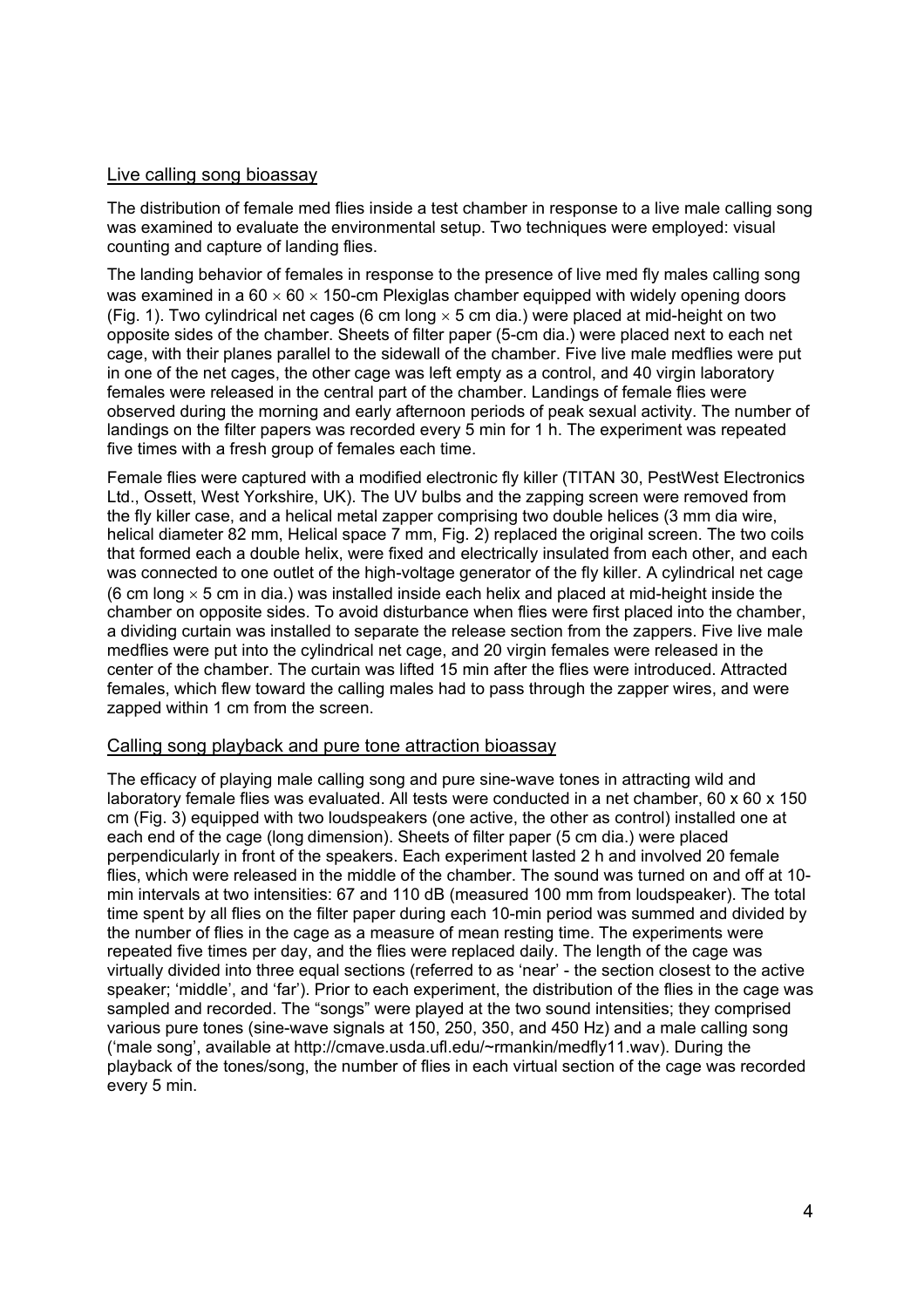#### Live calling song bioassay

The distribution of female med flies inside a test chamber in response to a live male calling song was examined to evaluate the environmental setup. Two techniques were employed: visual counting and capture of landing flies.

The landing behavior of females in response to the presence of live med fly males calling song was examined in a  $60 \times 60 \times 150$ -cm Plexiglas chamber equipped with widely opening doors (Fig. 1). Two cylindrical net cages (6 cm long  $\times$  5 cm dia.) were placed at mid-height on two opposite sides of the chamber. Sheets of filter paper (5-cm dia.) were placed next to each net cage, with their planes parallel to the sidewall of the chamber. Five live male medflies were put in one of the net cages, the other cage was left empty as a control, and 40 virgin laboratory females were released in the central part of the chamber. Landings of female flies were observed during the morning and early afternoon periods of peak sexual activity. The number of landings on the filter papers was recorded every 5 min for 1 h. The experiment was repeated five times with a fresh group of females each time.

Female flies were captured with a modified electronic fly killer (TITAN 30, PestWest Electronics Ltd., Ossett, West Yorkshire, UK). The UV bulbs and the zapping screen were removed from the fly killer case, and a helical metal zapper comprising two double helices (3 mm dia wire, helical diameter 82 mm, Helical space 7 mm, Fig. 2) replaced the original screen. The two coils that formed each a double helix, were fixed and electrically insulated from each other, and each was connected to one outlet of the high-voltage generator of the fly killer. A cylindrical net cage (6 cm long  $\times$  5 cm in dia.) was installed inside each helix and placed at mid-height inside the chamber on opposite sides. To avoid disturbance when flies were first placed into the chamber, a dividing curtain was installed to separate the release section from the zappers. Five live male medflies were put into the cylindrical net cage, and 20 virgin females were released in the center of the chamber. The curtain was lifted 15 min after the flies were introduced. Attracted females, which flew toward the calling males had to pass through the zapper wires, and were zapped within 1 cm from the screen.

#### Calling song playback and pure tone attraction bioassay

The efficacy of playing male calling song and pure sine-wave tones in attracting wild and laboratory female flies was evaluated. All tests were conducted in a net chamber, 60 x 60 x 150 cm (Fig. 3) equipped with two loudspeakers (one active, the other as control) installed one at each end of the cage (long dimension). Sheets of filter paper (5 cm dia.) were placed perpendicularly in front of the speakers. Each experiment lasted 2 h and involved 20 female flies, which were released in the middle of the chamber. The sound was turned on and off at 10 min intervals at two intensities: 67 and 110 dB (measured 100 mm from loudspeaker). The total time spent by all flies on the filter paper during each 10-min period was summed and divided by the number of flies in the cage as a measure of mean resting time. The experiments were repeated five times per day, and the flies were replaced daily. The length of the cage was virtually divided into three equal sections (referred to as 'near' - the section closest to the active speaker; 'middle', and 'far'). Prior to each experiment, the distribution of the flies in the cage was sampled and recorded. The "songs" were played at the two sound intensities; they comprised various pure tones (sine-wave signals at 150, 250, 350, and 450 Hz) and a male calling song ('male song', available at http://cmave.usda.ufl.edu/~rmankin/medfly11.wav). During the playback of the tones/song, the number of flies in each virtual section of the cage was recorded every 5 min.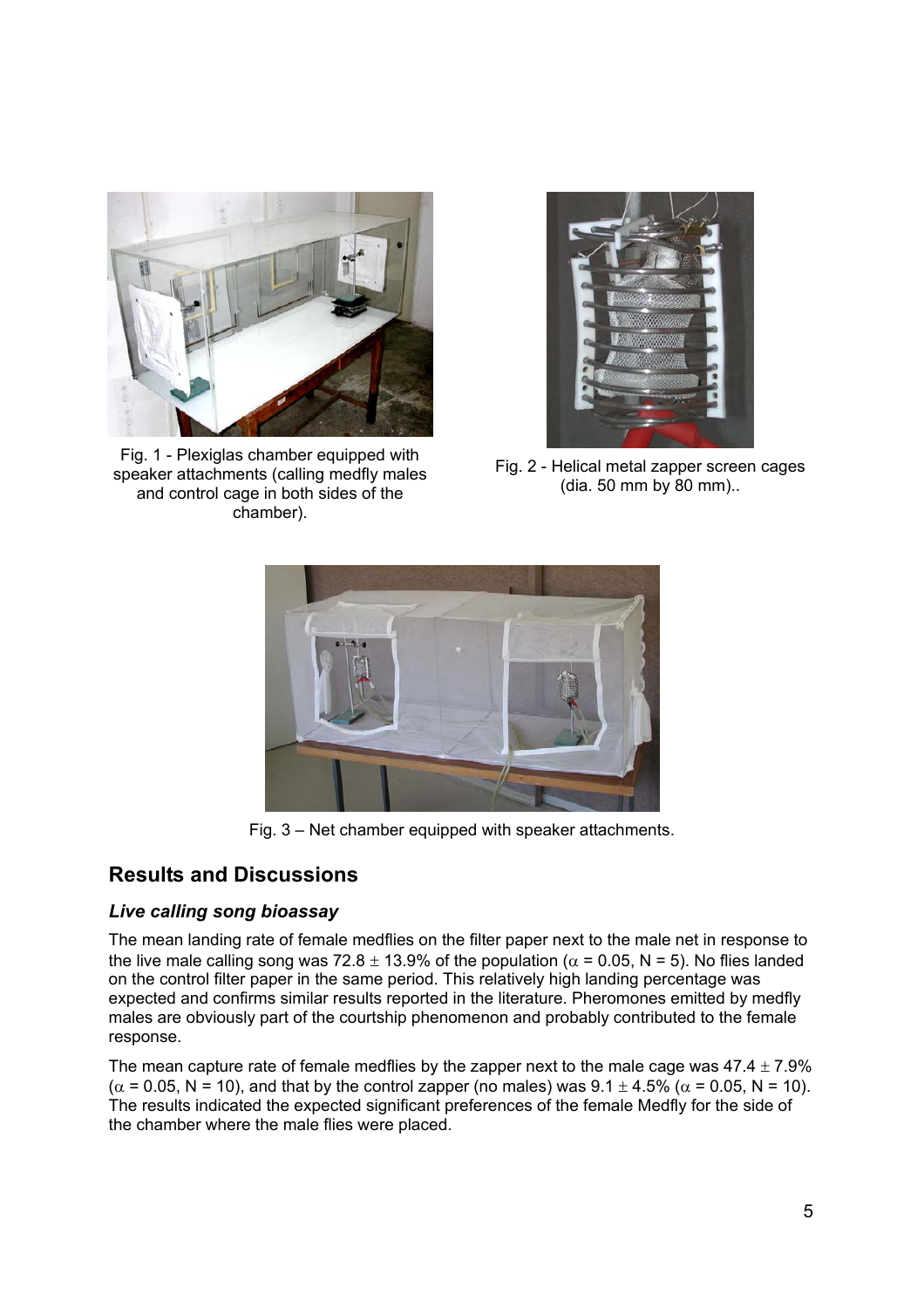

Fig. 1 - Plexiglas chamber equipped with speaker attachments (calling medfly males and control cage in both sides of the chamber).



Fig. 2 - Helical metal zapper screen cages (dia. 50 mm by 80 mm)..



Fig. 3 – Net chamber equipped with speaker attachments.

## **Results and Discussions**

## *Live calling song bioassay*

The mean landing rate of female medflies on the filter paper next to the male net in response to the live male calling song was 72.8  $\pm$  13.9% of the population ( $\alpha$  = 0.05, N = 5). No flies landed on the control filter paper in the same period. This relatively high landing percentage was expected and confirms similar results reported in the literature. Pheromones emitted by medfly males are obviously part of the courtship phenomenon and probably contributed to the female response.

The mean capture rate of female medflies by the zapper next to the male cage was  $47.4 \pm 7.9\%$  $(\alpha = 0.05, N = 10)$ , and that by the control zapper (no males) was  $9.1 \pm 4.5\%$  ( $\alpha = 0.05, N = 10$ ). The results indicated the expected significant preferences of the female Medfly for the side of the chamber where the male flies were placed.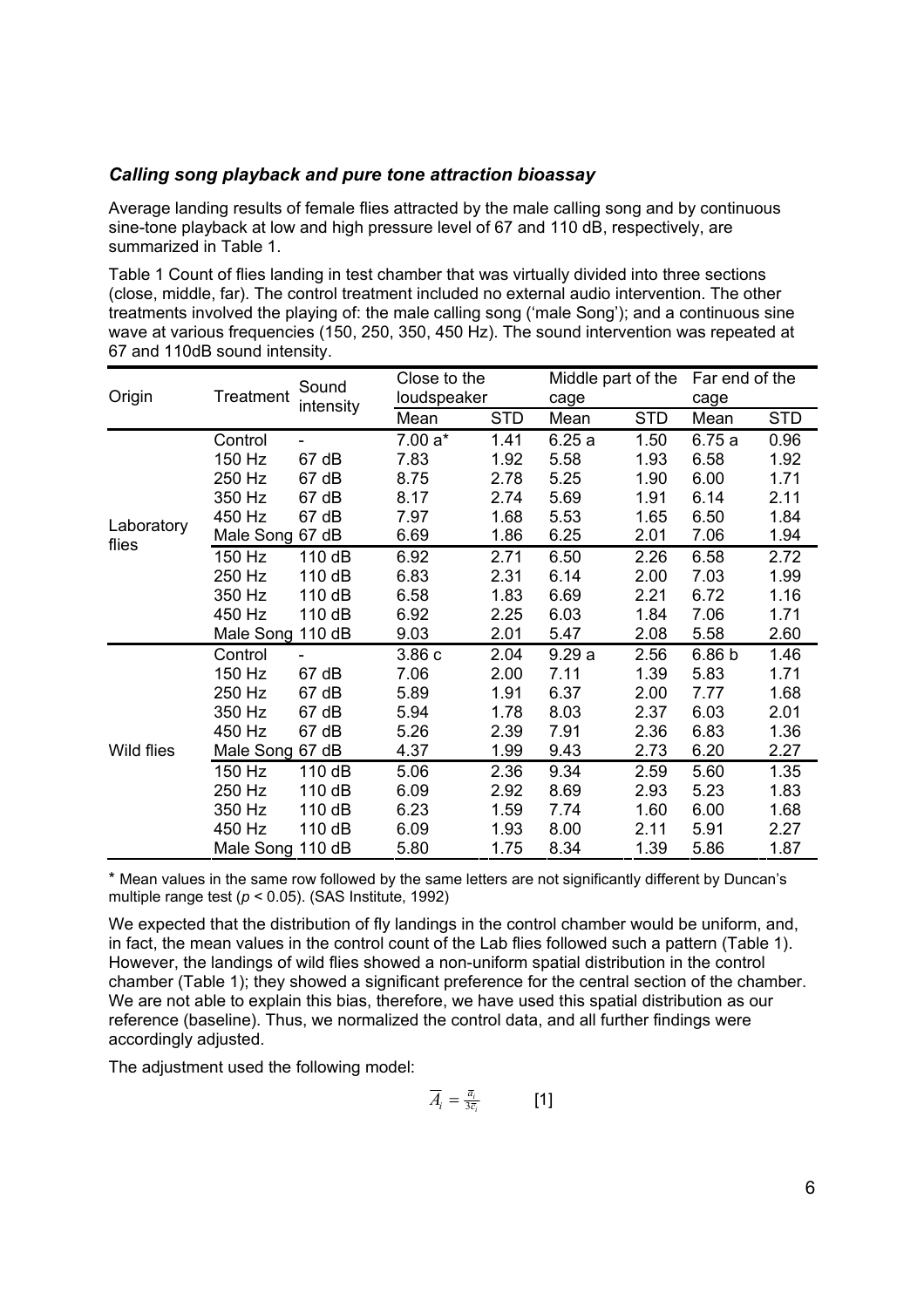#### *Calling song playback and pure tone attraction bioassay*

Average landing results of female flies attracted by the male calling song and by continuous sine-tone playback at low and high pressure level of 67 and 110 dB, respectively, are summarized in Table 1.

Table 1 Count of flies landing in test chamber that was virtually divided into three sections (close, middle, far). The control treatment included no external audio intervention. The other treatments involved the playing of: the male calling song ('male Song'); and a continuous sine wave at various frequencies (150, 250, 350, 450 Hz). The sound intervention was repeated at 67 and 110dB sound intensity.

| Origin              | Treatment        | Sound<br>intensity | Close to the |            | Middle part of the |            | Far end of the    |            |
|---------------------|------------------|--------------------|--------------|------------|--------------------|------------|-------------------|------------|
|                     |                  |                    | loudspeaker  |            | cage               |            | cage              |            |
|                     |                  |                    | Mean         | <b>STD</b> | Mean               | <b>STD</b> | Mean              | <b>STD</b> |
| Laboratory<br>flies | Control          |                    | $7.00a*$     | 1.41       | 6.25a              | 1.50       | 6.75a             | 0.96       |
|                     | 150 Hz           | 67 dB              | 7.83         | 1.92       | 5.58               | 1.93       | 6.58              | 1.92       |
|                     | 250 Hz           | 67 dB              | 8.75         | 2.78       | 5.25               | 1.90       | 6.00              | 1.71       |
|                     | 350 Hz           | 67 dB              | 8.17         | 2.74       | 5.69               | 1.91       | 6.14              | 2.11       |
|                     | 450 Hz           | 67 dB              | 7.97         | 1.68       | 5.53               | 1.65       | 6.50              | 1.84       |
|                     | Male Song 67 dB  |                    | 6.69         | 1.86       | 6.25               | 2.01       | 7.06              | 1.94       |
|                     | 150 Hz           | 110 dB             | 6.92         | 2.71       | 6.50               | 2.26       | 6.58              | 2.72       |
|                     | 250 Hz           | 110 dB             | 6.83         | 2.31       | 6.14               | 2.00       | 7.03              | 1.99       |
|                     | 350 Hz           | 110 dB             | 6.58         | 1.83       | 6.69               | 2.21       | 6.72              | 1.16       |
|                     | 450 Hz           | 110 dB             | 6.92         | 2.25       | 6.03               | 1.84       | 7.06              | 1.71       |
|                     | Male Song        | 110 dB             | 9.03         | 2.01       | 5.47               | 2.08       | 5.58              | 2.60       |
| Wild flies          | Control          |                    | 3.86c        | 2.04       | 9.29a              | 2.56       | 6.86 <sub>b</sub> | 1.46       |
|                     | 150 Hz           | 67 dB              | 7.06         | 2.00       | 7.11               | 1.39       | 5.83              | 1.71       |
|                     | 250 Hz           | 67 dB              | 5.89         | 1.91       | 6.37               | 2.00       | 7.77              | 1.68       |
|                     | 350 Hz           | 67 dB              | 5.94         | 1.78       | 8.03               | 2.37       | 6.03              | 2.01       |
|                     | 450 Hz           | 67 dB              | 5.26         | 2.39       | 7.91               | 2.36       | 6.83              | 1.36       |
|                     | Male Song 67 dB  |                    | 4.37         | 1.99       | 9.43               | 2.73       | 6.20              | 2.27       |
|                     | 150 Hz           | 110 dB             | 5.06         | 2.36       | 9.34               | 2.59       | 5.60              | 1.35       |
|                     | 250 Hz           | 110 dB             | 6.09         | 2.92       | 8.69               | 2.93       | 5.23              | 1.83       |
|                     | 350 Hz           | 110 dB             | 6.23         | 1.59       | 7.74               | 1.60       | 6.00              | 1.68       |
|                     | 450 Hz           | 110 dB             | 6.09         | 1.93       | 8.00               | 2.11       | 5.91              | 2.27       |
|                     | Male Song 110 dB |                    | 5.80         | 1.75       | 8.34               | 1.39       | 5.86              | 1.87       |

\* Mean values in the same row followed by the same letters are not significantly different by Duncan's multiple range test (*p* < 0.05). (SAS Institute, 1992)

We expected that the distribution of fly landings in the control chamber would be uniform, and, in fact, the mean values in the control count of the Lab flies followed such a pattern (Table 1). However, the landings of wild flies showed a non-uniform spatial distribution in the control chamber (Table 1); they showed a significant preference for the central section of the chamber. We are not able to explain this bias, therefore, we have used this spatial distribution as our reference (baseline). Thus, we normalized the control data, and all further findings were accordingly adjusted.

The adjustment used the following model:

$$
\overline{A}_i = \frac{\overline{a}_i}{3\overline{c}_i} \qquad \qquad \textbf{[1]}
$$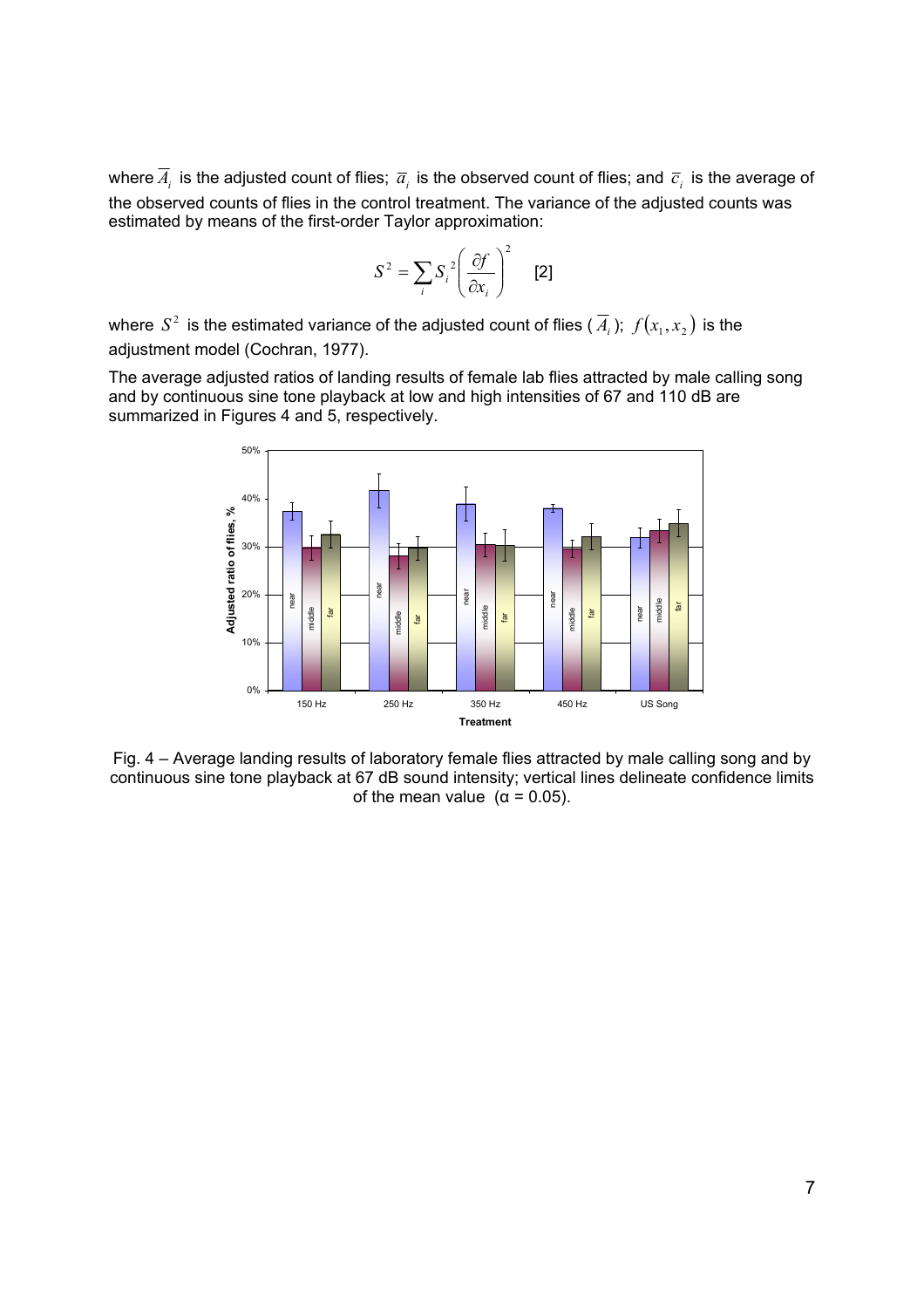where  $\overline{A}_i$  is the adjusted count of flies;  $\overline{a}_i$  is the observed count of flies; and  $\overline{c}_i$  is the average of the observed counts of flies in the control treatment. The variance of the adjusted counts was estimated by means of the first-order Taylor approximation:

$$
S^2 = \sum_i S_i^2 \left(\frac{\partial f}{\partial x_i}\right)^2 \quad [2]
$$

where  $S^2$  is the estimated variance of the adjusted count of flies  $(\overline{A}_i)$ ;  $f(x_1, x_2)$  is the adjustment model (Cochran, 1977).

The average adjusted ratios of landing results of female lab flies attracted by male calling song and by continuous sine tone playback at low and high intensities of 67 and 110 dB are summarized in Figures 4 and 5, respectively.



Fig. 4 – Average landing results of laboratory female flies attracted by male calling song and by continuous sine tone playback at 67 dB sound intensity; vertical lines delineate confidence limits of the mean value  $(\alpha = 0.05)$ .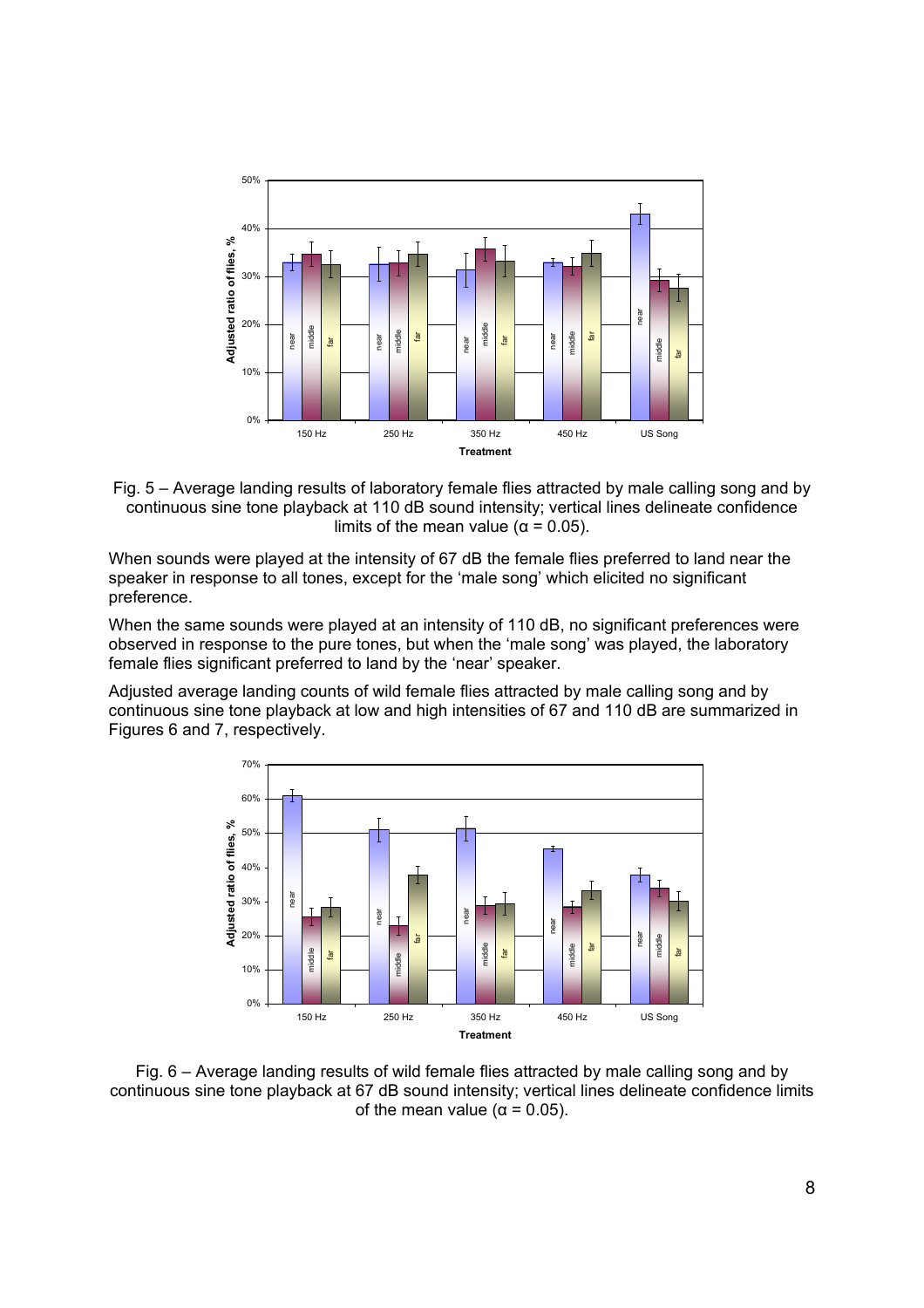

Fig. 5 – Average landing results of laboratory female flies attracted by male calling song and by continuous sine tone playback at 110 dB sound intensity; vertical lines delineate confidence limits of the mean value ( $\alpha$  = 0.05).

When sounds were played at the intensity of 67 dB the female flies preferred to land near the speaker in response to all tones, except for the 'male song' which elicited no significant preference.

When the same sounds were played at an intensity of 110 dB, no significant preferences were observed in response to the pure tones, but when the 'male song' was played, the laboratory female flies significant preferred to land by the 'near' speaker.

Adjusted average landing counts of wild female flies attracted by male calling song and by continuous sine tone playback at low and high intensities of 67 and 110 dB are summarized in Figures 6 and 7, respectively.



Fig. 6 – Average landing results of wild female flies attracted by male calling song and by continuous sine tone playback at 67 dB sound intensity; vertical lines delineate confidence limits of the mean value ( $\alpha$  = 0.05).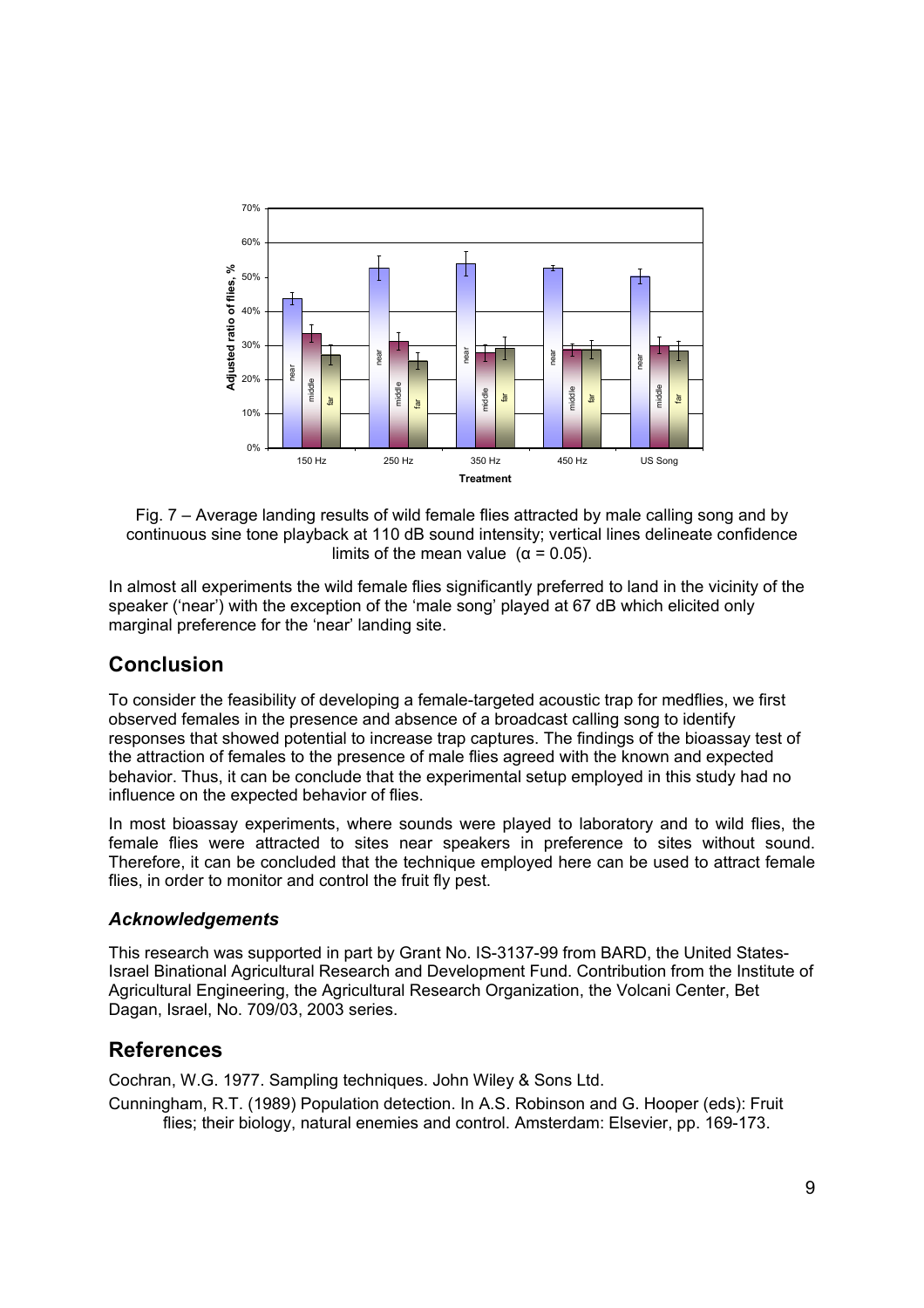

Fig. 7 – Average landing results of wild female flies attracted by male calling song and by continuous sine tone playback at 110 dB sound intensity; vertical lines delineate confidence limits of the mean value  $(α = 0.05)$ .

In almost all experiments the wild female flies significantly preferred to land in the vicinity of the speaker ('near') with the exception of the 'male song' played at 67 dB which elicited only marginal preference for the 'near' landing site.

## **Conclusion**

To consider the feasibility of developing a female-targeted acoustic trap for medflies, we first observed females in the presence and absence of a broadcast calling song to identify responses that showed potential to increase trap captures. The findings of the bioassay test of the attraction of females to the presence of male flies agreed with the known and expected behavior. Thus, it can be conclude that the experimental setup employed in this study had no influence on the expected behavior of flies.

In most bioassay experiments, where sounds were played to laboratory and to wild flies, the female flies were attracted to sites near speakers in preference to sites without sound. Therefore, it can be concluded that the technique employed here can be used to attract female flies, in order to monitor and control the fruit fly pest.

## *Acknowledgements*

This research was supported in part by Grant No. IS-3137-99 from BARD, the United States-Israel Binational Agricultural Research and Development Fund. Contribution from the Institute of Agricultural Engineering, the Agricultural Research Organization, the Volcani Center, Bet Dagan, Israel, No. 709/03, 2003 series.

## **References**

Cochran, W.G. 1977. Sampling techniques. John Wiley & Sons Ltd.

Cunningham, R.T. (1989) Population detection. In A.S. Robinson and G. Hooper (eds): Fruit flies; their biology, natural enemies and control. Amsterdam: Elsevier, pp. 169-173.